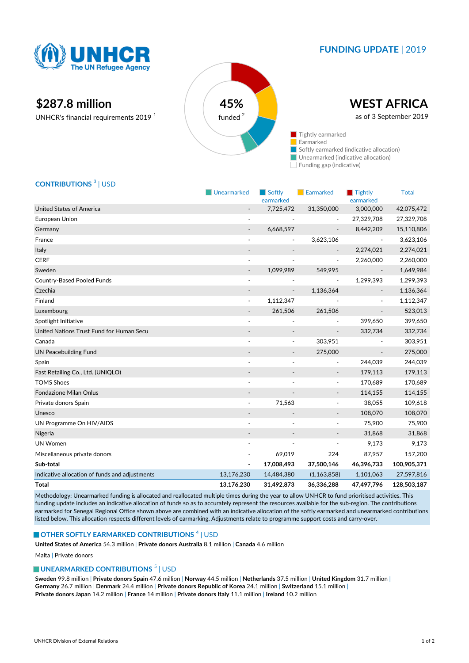

## **FUNDING UPDATE** | 2019

# **\$287.8 million 45%**

UNHCR's financial requirements 2019 <sup>1</sup>



## **CONTRIBUTIONS** <sup>3</sup> | USD

|                                                | Unearmarked              | $\blacksquare$ Softly<br>earmarked | Earmarked                | Tightly<br>earmarked     | <b>Total</b> |
|------------------------------------------------|--------------------------|------------------------------------|--------------------------|--------------------------|--------------|
| <b>United States of America</b>                |                          | 7,725,472                          | 31,350,000               | 3,000,000                | 42,075,472   |
| European Union                                 | $\overline{\phantom{a}}$ |                                    |                          | 27,329,708               | 27,329,708   |
| Germany                                        | $\overline{\phantom{a}}$ | 6,668,597                          | $\overline{\phantom{a}}$ | 8,442,209                | 15,110,806   |
| France                                         | $\overline{\phantom{a}}$ | $\overline{a}$                     | 3,623,106                | $\overline{\phantom{a}}$ | 3,623,106    |
| Italy                                          |                          |                                    |                          | 2,274,021                | 2,274,021    |
| <b>CERF</b>                                    | $\overline{\phantom{a}}$ |                                    | $\overline{\phantom{a}}$ | 2,260,000                | 2,260,000    |
| Sweden                                         | $\overline{\phantom{a}}$ | 1,099,989                          | 549,995                  |                          | 1,649,984    |
| <b>Country-Based Pooled Funds</b>              | ÷,                       |                                    | $\overline{\phantom{a}}$ | 1,299,393                | 1,299,393    |
| Czechia                                        |                          |                                    | 1,136,364                |                          | 1,136,364    |
| Finland                                        | $\overline{\phantom{a}}$ | 1,112,347                          |                          |                          | 1,112,347    |
| Luxembourg                                     |                          | 261,506                            | 261,506                  |                          | 523,013      |
| Spotlight Initiative                           | $\blacksquare$           |                                    |                          | 399,650                  | 399,650      |
| United Nations Trust Fund for Human Secu       |                          |                                    | $\overline{a}$           | 332,734                  | 332,734      |
| Canada                                         |                          |                                    | 303,951                  |                          | 303,951      |
| <b>UN Peacebuilding Fund</b>                   | $\overline{\phantom{a}}$ | $\overline{\phantom{a}}$           | 275,000                  | $\overline{\phantom{a}}$ | 275,000      |
| Spain                                          |                          |                                    | $\frac{1}{2}$            | 244,039                  | 244,039      |
| Fast Retailing Co., Ltd. (UNIQLO)              |                          |                                    | $\overline{\phantom{a}}$ | 179,113                  | 179,113      |
| <b>TOMS Shoes</b>                              | $\overline{\phantom{a}}$ |                                    | $\overline{\phantom{a}}$ | 170,689                  | 170,689      |
| <b>Fondazione Milan Onlus</b>                  | $\overline{\phantom{a}}$ |                                    | $\overline{\phantom{a}}$ | 114,155                  | 114,155      |
| Private donors Spain                           |                          | 71,563                             | $\overline{\phantom{a}}$ | 38,055                   | 109,618      |
| Unesco                                         |                          |                                    | $\overline{\phantom{a}}$ | 108,070                  | 108,070      |
| UN Programme On HIV/AIDS                       | $\overline{\phantom{a}}$ |                                    | $\overline{\phantom{a}}$ | 75,900                   | 75,900       |
| Nigeria                                        |                          |                                    | $\overline{\phantom{a}}$ | 31,868                   | 31,868       |
| <b>UN Women</b>                                |                          |                                    |                          | 9,173                    | 9,173        |
| Miscellaneous private donors                   |                          | 69,019                             | 224                      | 87,957                   | 157,200      |
| Sub-total                                      | $\overline{a}$           | 17,008,493                         | 37,500,146               | 46,396,733               | 100,905,371  |
| Indicative allocation of funds and adjustments | 13,176,230               | 14,484,380                         | (1,163,858)              | 1,101,063                | 27,597,816   |
| <b>Total</b>                                   | 13,176,230               | 31,492,873                         | 36,336,288               | 47,497,796               | 128,503,187  |

Methodology: Unearmarked funding is allocated and reallocated multiple times during the year to allow UNHCR to fund prioritised activities. This funding update includes an indicative allocation of funds so as to accurately represent the resources available for the sub-region. The contributions earmarked for Senegal Regional Office shown above are combined with an indicative allocation of the softly earmarked and unearmarked contributions listed below. This allocation respects different levels of earmarking. Adjustments relate to programme support costs and carry-over.

#### **OTHER SOFTLY EARMARKED CONTRIBUTIONS**  $^4$  | USD

**United States of America** 54.3 million | **Private donors Australia** 8.1 million | **Canada** 4.6 million

Malta | Private donors

### **UNEARMARKED CONTRIBUTIONS<sup>5</sup> | USD**

**Sweden** 99.8 million | **Private donors Spain** 47.6 million | **Norway** 44.5 million | **Netherlands** 37.5 million | **United Kingdom** 31.7 million | **Germany** 26.7 million | **Denmark** 24.4 million | **Private donors Republic of Korea** 24.1 million | **Switzerland** 15.1 million | **Private donors Japan** 14.2 million | **France** 14 million | **Private donors Italy** 11.1 million | **Ireland** 10.2 million